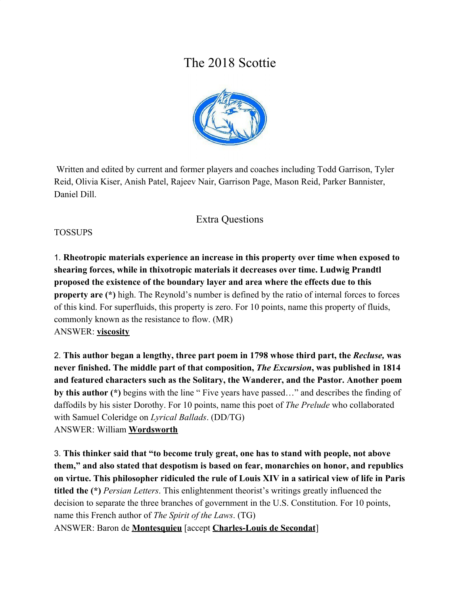# The 2018 Scottie



 Written and edited by current and former players and coaches including Todd Garrison, Tyler Reid, Olivia Kiser, Anish Patel, Rajeev Nair, Garrison Page, Mason Reid, Parker Bannister, Daniel Dill.

# Extra Questions

#### TOSSUPS

1. **Rheotropic materials experience an increase in this property over time when exposed to shearing forces, while in thixotropic materials it decreases over time. Ludwig Prandtl proposed the existence of the boundary layer and area where the effects due to this property are** (\*) high. The Reynold's number is defined by the ratio of internal forces to forces of this kind. For superfluids, this property is zero. For 10 points, name this property of fluids, commonly known as the resistance to flow. (MR) ANSWER: **viscosity**

2. **This author began a lengthy, three part poem in 1798 whose third part, the** *Recluse,* **was never finished. The middle part of that composition,** *The Excursion***, was published in 1814 and featured characters such as the Solitary, the Wanderer, and the Pastor. Another poem by this author (\*)** begins with the line " Five years have passed…" and describes the finding of daffodils by his sister Dorothy. For 10 points, name this poet of *The Prelude* who collaborated with Samuel Coleridge on *Lyrical Ballads*. (DD/TG) ANSWER: William **Wordsworth**

3. **This thinker said that "to become truly great, one has to stand with people, not above them," and also stated that despotism is based on fear, monarchies on honor, and republics on virtue. This philosopher ridiculed the rule of Louis XIV in a satirical view of life in Paris titled the (\*)** *Persian Letters*. This enlightenment theorist's writings greatly influenced the decision to separate the three branches of government in the U.S. Constitution. For 10 points, name this French author of *The Spirit of the Laws*. (TG) ANSWER: Baron de **Montesquieu** [accept **Charles-Louis de Secondat**]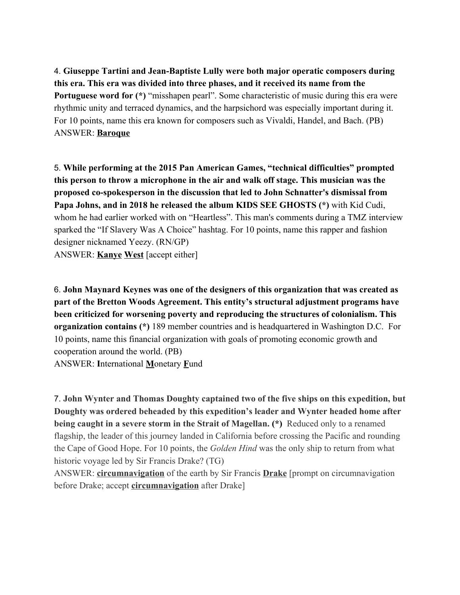4. **Giuseppe Tartini and Jean-Baptiste Lully were both major operatic composers during this era. This era was divided into three phases, and it received its name from the Portuguese word for (\*)** "misshapen pearl". Some characteristic of music during this era were rhythmic unity and terraced dynamics, and the harpsichord was especially important during it. For 10 points, name this era known for composers such as Vivaldi, Handel, and Bach. (PB) ANSWER: **Baroque**

5. **While performing at the 2015 Pan American Games, "technical difficulties" prompted this person to throw a microphone in the air and walk off stage. This musician was the proposed co-spokesperson in the discussion that led to John Schnatter's dismissal from Papa Johns, and in 2018 he released the album KIDS SEE GHOSTS (\*)** with Kid Cudi, whom he had earlier worked with on "Heartless". This man's comments during a TMZ interview sparked the "If Slavery Was A Choice" hashtag. For 10 points, name this rapper and fashion designer nicknamed Yeezy. (RN/GP) ANSWER: **Kanye West** [accept either]

6. **John Maynard Keynes was one of the designers of this organization that was created as part of the Bretton Woods Agreement. This entity's structural adjustment programs have been criticized for worsening poverty and reproducing the structures of colonialism. This organization contains (\*)** 189 member countries and is headquartered in Washington D.C. For 10 points, name this financial organization with goals of promoting economic growth and cooperation around the world. (PB) ANSWER: **I**nternational **M**onetary **F**und

7. **John Wynter and Thomas Doughty captained two of the five ships on this expedition, but Doughty was ordered beheaded by this expedition's leader and Wynter headed home after being caught in a severe storm in the Strait of Magellan. (\*)** Reduced only to a renamed flagship, the leader of this journey landed in California before crossing the Pacific and rounding the Cape of Good Hope. For 10 points, the *Golden Hind* was the only ship to return from what historic voyage led by Sir Francis Drake? (TG)

ANSWER: **circumnavigation** of the earth by Sir Francis **Drake** [prompt on circumnavigation before Drake; accept **circumnavigation** after Drake]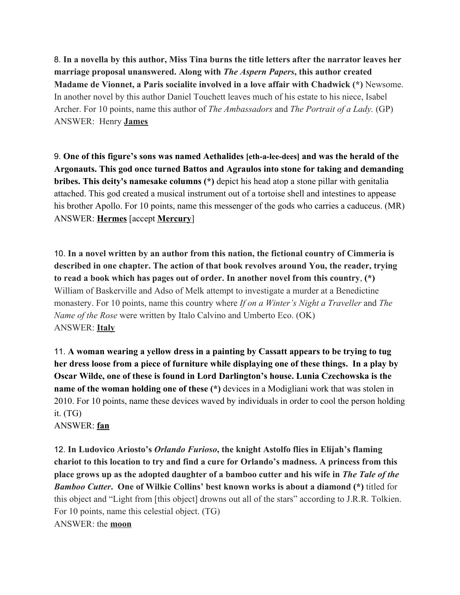8. **In a novella by this author, Miss Tina burns the title letters after the narrator leaves her marriage proposal unanswered. Along with** *The Aspern Papers***, this author created Madame de Vionnet, a Paris socialite involved in a love affair with Chadwick (\*)** Newsome. In another novel by this author Daniel Touchett leaves much of his estate to his niece, Isabel Archer. For 10 points, name this author of *The Ambassadors* and *The Portrait of a Lady.* (GP) ANSWER: Henry **James**

9. **One of this figure's sons was named Aethalides [eth-a-lee-dees] and was the herald of the Argonauts. This god once turned Battos and Agraulos into stone for taking and demanding bribes. This deity's namesake columns (\*)** depict his head atop a stone pillar with genitalia attached. This god created a musical instrument out of a tortoise shell and intestines to appease his brother Apollo. For 10 points, name this messenger of the gods who carries a caduceus. (MR) ANSWER: **Hermes** [accept **Mercury**]

10. **In a novel written by an author from this nation, the fictional country of Cimmeria is described in one chapter. The action of that book revolves around You, the reader, trying to read a book which has pages out of order. In another novel from this country**, **(\*)** William of Baskerville and Adso of Melk attempt to investigate a murder at a Benedictine monastery. For 10 points, name this country where *If on a Winter's Night a Traveller* and *The Name of the Rose* were written by Italo Calvino and Umberto Eco. (OK) ANSWER: **Italy**

11. **A woman wearing a yellow dress in a painting by Cassatt appears to be trying to tug her dress loose from a piece of furniture while displaying one of these things. In a play by Oscar Wilde, one of these is found in Lord Darlington's house. Lunia Czechowska is the name of the woman holding one of these (\*)** devices in a Modigliani work that was stolen in 2010. For 10 points, name these devices waved by individuals in order to cool the person holding it. (TG)

ANSWER: **fan**

12. **In Ludovico Ariosto's** *Orlando Furioso***, the knight Astolfo flies in Elijah's flaming chariot to this location to try and find a cure for Orlando's madness. A princess from this place grows up as the adopted daughter of a bamboo cutter and his wife in** *The Tale of the Bamboo Cutter***. One of Wilkie Collins' best known works is about a diamond (\*)** titled for this object and "Light from [this object] drowns out all of the stars" according to J.R.R. Tolkien. For 10 points, name this celestial object. (TG) ANSWER: the **moon**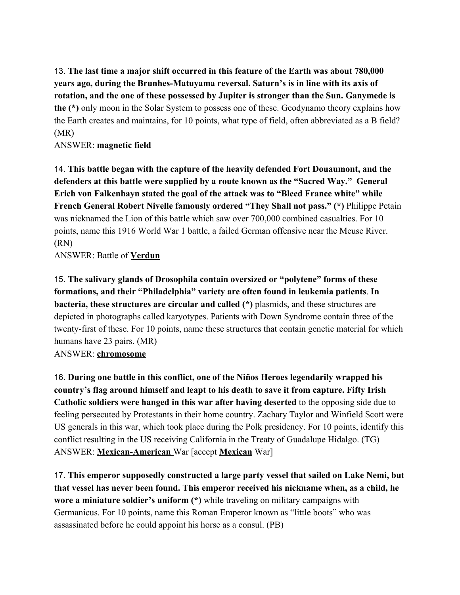13. **The last time a major shift occurred in this feature of the Earth was about 780,000 years ago, during the Brunhes-Matuyama reversal. Saturn's is in line with its axis of rotation, and the one of these possessed by Jupiter is stronger than the Sun. Ganymede is the (\*)** only moon in the Solar System to possess one of these. Geodynamo theory explains how the Earth creates and maintains, for 10 points, what type of field, often abbreviated as a B field? (MR)

ANSWER: **magnetic field**

14. **This battle began with the capture of the heavily defended Fort Douaumont, and the defenders at this battle were supplied by a route known as the "Sacred Way." General Erich von Falkenhayn stated the goal of the attack was to "Bleed France white" while French General Robert Nivelle famously ordered "They Shall not pass." (\*)** Philippe Petain was nicknamed the Lion of this battle which saw over 700,000 combined casualties. For 10 points, name this 1916 World War 1 battle, a failed German offensive near the Meuse River. (RN)

ANSWER: Battle of **Verdun**

15. **The salivary glands of Drosophila contain oversized or "polytene" forms of these formations, and their "Philadelphia" variety are often found in leukemia patients**. **In bacteria, these structures are circular and called (\*)** plasmids, and these structures are depicted in photographs called karyotypes. Patients with Down Syndrome contain three of the twenty-first of these. For 10 points, name these structures that contain genetic material for which humans have 23 pairs. (MR)

ANSWER: **chromosome**

16. **During one battle in this conflict, one of the Niños Heroes legendarily wrapped his country's flag around himself and leapt to his death to save it from capture. Fifty Irish Catholic soldiers were hanged in this war after having deserted** to the opposing side due to feeling persecuted by Protestants in their home country. Zachary Taylor and Winfield Scott were US generals in this war, which took place during the Polk presidency. For 10 points, identify this conflict resulting in the US receiving California in the Treaty of Guadalupe Hidalgo. (TG) ANSWER: **Mexican-American** War [accept **Mexican** War]

17. **This emperor supposedly constructed a large party vessel that sailed on Lake Nemi, but that vessel has never been found. This emperor received his nickname when, as a child, he wore a miniature soldier's uniform (\*)** while traveling on military campaigns with Germanicus. For 10 points, name this Roman Emperor known as "little boots" who was assassinated before he could appoint his horse as a consul. (PB)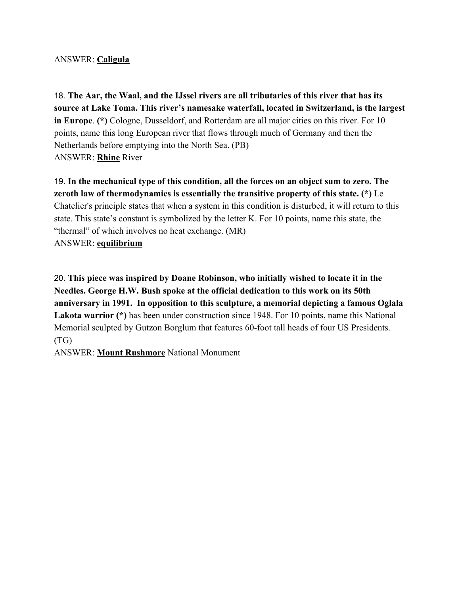#### ANSWER: **Caligula**

18. **The Aar, the Waal, and the IJssel rivers are all tributaries of this river that has its source at Lake Toma. This river's namesake waterfall, located in Switzerland, is the largest in Europe**. **(\*)** Cologne, Dusseldorf, and Rotterdam are all major cities on this river. For 10 points, name this long European river that flows through much of Germany and then the Netherlands before emptying into the North Sea. (PB) ANSWER: **Rhine** River

19. **In the mechanical type of this condition, all the forces on an object sum to zero. The zeroth law of thermodynamics is essentially the transitive property of this state. (\*)** Le Chatelier's principle states that when a system in this condition is disturbed, it will return to this state. This state's constant is symbolized by the letter K. For 10 points, name this state, the "thermal" of which involves no heat exchange. (MR) ANSWER: **equilibrium**

20. **This piece was inspired by Doane Robinson, who initially wished to locate it in the Needles. George H.W. Bush spoke at the official dedication to this work on its 50th anniversary in 1991. In opposition to this sculpture, a memorial depicting a famous Oglala Lakota warrior (\*)** has been under construction since 1948. For 10 points, name this National Memorial sculpted by Gutzon Borglum that features 60-foot tall heads of four US Presidents. (TG)

ANSWER: **Mount Rushmore** National Monument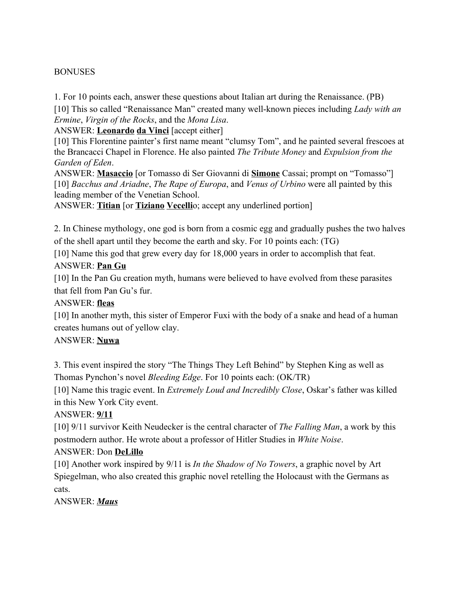#### BONUSES

1. For 10 points each, answer these questions about Italian art during the Renaissance. (PB)

[10] This so called "Renaissance Man" created many well-known pieces including *Lady with an Ermine*, *Virgin of the Rocks*, and the *Mona Lisa*.

ANSWER: **Leonardo da Vinci** [accept either]

[10] This Florentine painter's first name meant "clumsy Tom", and he painted several frescoes at the Brancacci Chapel in Florence. He also painted *The Tribute Money* and *Expulsion from the Garden of Eden*.

ANSWER: **Masaccio** [or Tomasso di Ser Giovanni di **Simone** Cassai; prompt on "Tomasso"] [10] *Bacchus and Ariadne*, *The Rape of Europa*, and *Venus of Urbino* were all painted by this leading member of the Venetian School.

ANSWER: **Titian** [or **Tiziano Vecelli**o; accept any underlined portion]

2. In Chinese mythology, one god is born from a cosmic egg and gradually pushes the two halves of the shell apart until they become the earth and sky. For 10 points each: (TG)

[10] Name this god that grew every day for 18,000 years in order to accomplish that feat.

#### ANSWER: **Pan Gu**

[10] In the Pan Gu creation myth, humans were believed to have evolved from these parasites that fell from Pan Gu's fur.

#### ANSWER: **fleas**

[10] In another myth, this sister of Emperor Fuxi with the body of a snake and head of a human creates humans out of yellow clay.

#### ANSWER: **Nuwa**

3. This event inspired the story "The Things They Left Behind" by Stephen King as well as Thomas Pynchon's novel *Bleeding Edge*. For 10 points each: (OK/TR)

[10] Name this tragic event. In *Extremely Loud and Incredibly Close*, Oskar's father was killed in this New York City event.

ANSWER: **9/11**

[10] 9/11 survivor Keith Neudecker is the central character of *The Falling Man*, a work by this postmodern author. He wrote about a professor of Hitler Studies in *White Noise*.

#### ANSWER: Don **DeLillo**

[10] Another work inspired by 9/11 is *In the Shadow of No Towers*, a graphic novel by Art Spiegelman, who also created this graphic novel retelling the Holocaust with the Germans as cats.

ANSWER: *Maus*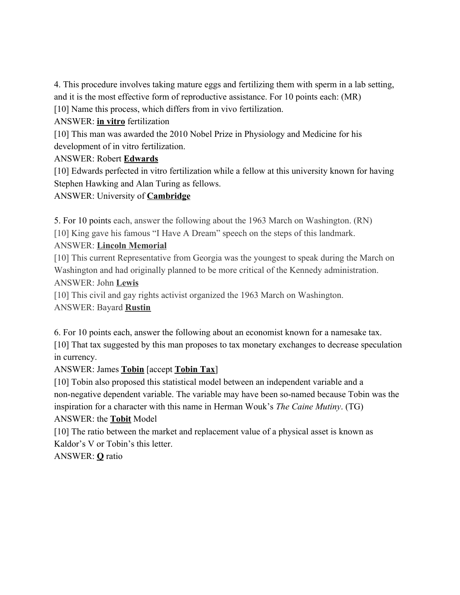4. This procedure involves taking mature eggs and fertilizing them with sperm in a lab setting, and it is the most effective form of reproductive assistance. For 10 points each: (MR) [10] Name this process, which differs from in vivo fertilization.

ANSWER: **in vitro** fertilization

[10] This man was awarded the 2010 Nobel Prize in Physiology and Medicine for his development of in vitro fertilization.

#### ANSWER: Robert **Edwards**

[10] Edwards perfected in vitro fertilization while a fellow at this university known for having Stephen Hawking and Alan Turing as fellows.

### ANSWER: University of **Cambridge**

5. For 10 points each, answer the following about the 1963 March on Washington. (RN)

[10] King gave his famous "I Have A Dream" speech on the steps of this landmark.

# ANSWER: **Lincoln Memorial**

[10] This current Representative from Georgia was the youngest to speak during the March on Washington and had originally planned to be more critical of the Kennedy administration. ANSWER: John **Lewis**

[10] This civil and gay rights activist organized the 1963 March on Washington. ANSWER: Bayard **Rustin**

6. For 10 points each, answer the following about an economist known for a namesake tax. [10] That tax suggested by this man proposes to tax monetary exchanges to decrease speculation in currency.

# ANSWER: James **Tobin** [accept **Tobin Tax**]

[10] Tobin also proposed this statistical model between an independent variable and a non-negative dependent variable. The variable may have been so-named because Tobin was the inspiration for a character with this name in Herman Wouk's *The Caine Mutiny*. (TG) ANSWER: the **Tobit** Model

[10] The ratio between the market and replacement value of a physical asset is known as Kaldor's V or Tobin's this letter.

ANSWER: **Q** ratio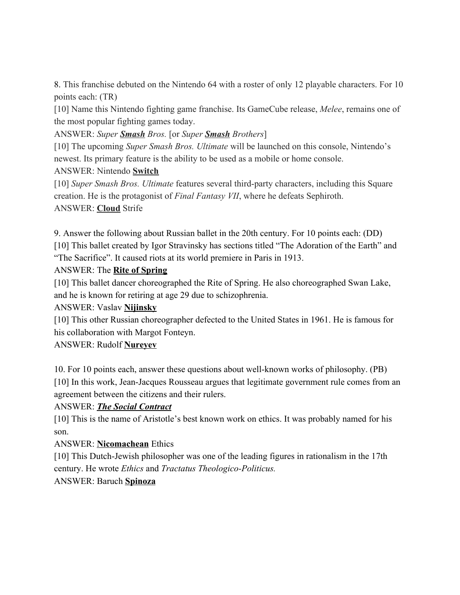8. This franchise debuted on the Nintendo 64 with a roster of only 12 playable characters. For 10 points each: (TR)

[10] Name this Nintendo fighting game franchise. Its GameCube release, *Melee*, remains one of the most popular fighting games today.

ANSWER: *Super Smash Bros.* [or *Super Smash Brothers*]

[10] The upcoming *Super Smash Bros. Ultimate* will be launched on this console, Nintendo's newest. Its primary feature is the ability to be used as a mobile or home console.

ANSWER: Nintendo **Switch**

[10] *Super Smash Bros. Ultimate* features several third-party characters, including this Square creation. He is the protagonist of *Final Fantasy VII*, where he defeats Sephiroth. ANSWER: **Cloud** Strife

9. Answer the following about Russian ballet in the 20th century. For 10 points each: (DD) [10] This ballet created by Igor Stravinsky has sections titled "The Adoration of the Earth" and "The Sacrifice". It caused riots at its world premiere in Paris in 1913.

# ANSWER: The **Rite of Spring**

[10] This ballet dancer choreographed the Rite of Spring. He also choreographed Swan Lake, and he is known for retiring at age 29 due to schizophrenia.

# ANSWER: Vaslav **Nijinsky**

[10] This other Russian choreographer defected to the United States in 1961. He is famous for his collaboration with Margot Fonteyn.

# ANSWER: Rudolf **Nureyev**

10. For 10 points each, answer these questions about well-known works of philosophy. (PB) [10] In this work, Jean-Jacques Rousseau argues that legitimate government rule comes from an agreement between the citizens and their rulers.

# ANSWER: *The Social Contract*

[10] This is the name of Aristotle's best known work on ethics. It was probably named for his son.

# ANSWER: **Nicomachean** Ethics

[10] This Dutch-Jewish philosopher was one of the leading figures in rationalism in the 17th century. He wrote *Ethics* and *Tractatus Theologico-Politicus.*

# ANSWER: Baruch **Spinoza**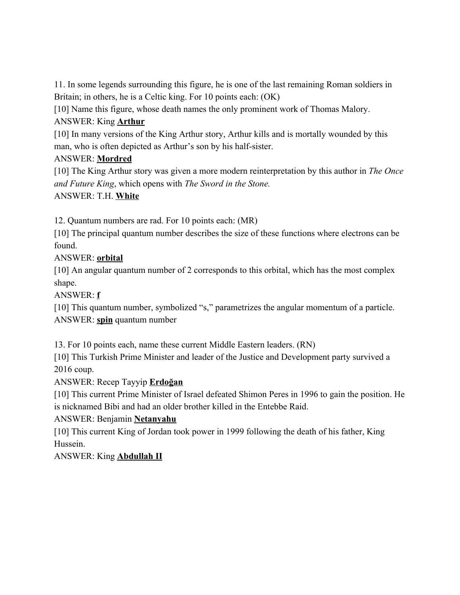11. In some legends surrounding this figure, he is one of the last remaining Roman soldiers in Britain; in others, he is a Celtic king. For 10 points each: (OK)

[10] Name this figure, whose death names the only prominent work of Thomas Malory.

# ANSWER: King **Arthur**

[10] In many versions of the King Arthur story, Arthur kills and is mortally wounded by this man, who is often depicted as Arthur's son by his half-sister.

# ANSWER: **Mordred**

[10] The King Arthur story was given a more modern reinterpretation by this author in *The Once and Future King*, which opens with *The Sword in the Stone.*

# ANSWER: T.H. **White**

12. Quantum numbers are rad. For 10 points each: (MR)

[10] The principal quantum number describes the size of these functions where electrons can be found.

# ANSWER: **orbital**

[10] An angular quantum number of 2 corresponds to this orbital, which has the most complex shape.

ANSWER: **f**

[10] This quantum number, symbolized "s," parametrizes the angular momentum of a particle. ANSWER: **spin** quantum number

13. For 10 points each, name these current Middle Eastern leaders. (RN)

[10] This Turkish Prime Minister and leader of the Justice and Development party survived a 2016 coup.

ANSWER: Recep Tayyip **Erdoğan**

[10] This current Prime Minister of Israel defeated Shimon Peres in 1996 to gain the position. He is nicknamed Bibi and had an older brother killed in the Entebbe Raid.

ANSWER: Benjamin **Netanyahu**

[10] This current King of Jordan took power in 1999 following the death of his father, King Hussein.

ANSWER: King **Abdullah II**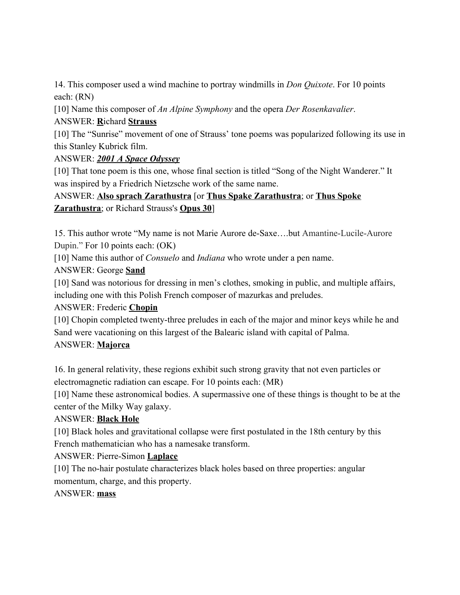14. This composer used a wind machine to portray windmills in *Don Quixote*. For 10 points each: (RN)

[10] Name this composer of *An Alpine Symphony* and the opera *Der Rosenkavalier*.

# ANSWER: **R**ichard **Strauss**

[10] The "Sunrise" movement of one of Strauss' tone poems was popularized following its use in this Stanley Kubrick film.

# ANSWER: *2001 A Space Odyssey*

[10] That tone poem is this one, whose final section is titled "Song of the Night Wanderer." It was inspired by a Friedrich Nietzsche work of the same name.

# ANSWER: **Also sprach Zarathustra** [or **Thus Spake Zarathustra**; or **Thus Spoke Zarathustra**; or Richard Strauss's **Opus 30**]

15. This author wrote "My name is not Marie Aurore de-Saxe….but Amantine-Lucile-Aurore Dupin." For 10 points each: (OK)

[10] Name this author of *Consuelo* and *Indiana* who wrote under a pen name.

# ANSWER: George **Sand**

[10] Sand was notorious for dressing in men's clothes, smoking in public, and multiple affairs, including one with this Polish French composer of mazurkas and preludes.

# ANSWER: Frederic **Chopin**

[10] Chopin completed twenty-three preludes in each of the major and minor keys while he and Sand were vacationing on this largest of the Balearic island with capital of Palma.

# ANSWER: **Majorca**

16. In general relativity, these regions exhibit such strong gravity that not even particles or electromagnetic radiation can escape. For 10 points each: (MR)

[10] Name these astronomical bodies. A supermassive one of these things is thought to be at the center of the Milky Way galaxy.

# ANSWER: **Black Hole**

[10] Black holes and gravitational collapse were first postulated in the 18th century by this French mathematician who has a namesake transform.

# ANSWER: Pierre-Simon **Laplace**

[10] The no-hair postulate characterizes black holes based on three properties: angular momentum, charge, and this property.

# ANSWER: **mass**